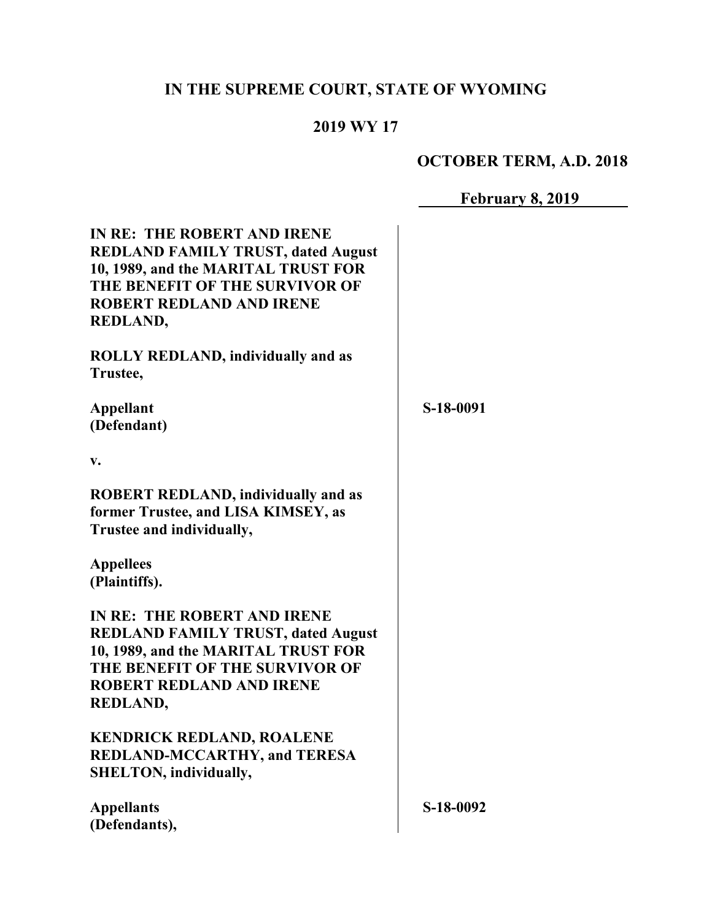# **IN THE SUPREME COURT, STATE OF WYOMING**

## **2019 WY 17**

# **OCTOBER TERM, A.D. 2018**

**February 8, 2019**

| IN RE: THE ROBERT AND IRENE<br><b>REDLAND FAMILY TRUST, dated August</b><br>10, 1989, and the MARITAL TRUST FOR<br>THE BENEFIT OF THE SURVIVOR OF<br><b>ROBERT REDLAND AND IRENE</b> |           |
|--------------------------------------------------------------------------------------------------------------------------------------------------------------------------------------|-----------|
| <b>REDLAND,</b>                                                                                                                                                                      |           |
| <b>ROLLY REDLAND, individually and as</b>                                                                                                                                            |           |
| Trustee,                                                                                                                                                                             |           |
| <b>Appellant</b>                                                                                                                                                                     | S-18-0091 |
| (Defendant)                                                                                                                                                                          |           |
| v.                                                                                                                                                                                   |           |
| <b>ROBERT REDLAND, individually and as</b>                                                                                                                                           |           |
| former Trustee, and LISA KIMSEY, as<br>Trustee and individually,                                                                                                                     |           |
| <b>Appellees</b>                                                                                                                                                                     |           |
| (Plaintiffs).                                                                                                                                                                        |           |
| IN RE: THE ROBERT AND IRENE                                                                                                                                                          |           |
| <b>REDLAND FAMILY TRUST, dated August</b>                                                                                                                                            |           |
| 10, 1989, and the MARITAL TRUST FOR                                                                                                                                                  |           |
| THE BENEFIT OF THE SURVIVOR OF<br><b>ROBERT REDLAND AND IRENE</b>                                                                                                                    |           |
| REDLAND,                                                                                                                                                                             |           |
|                                                                                                                                                                                      |           |
| <b>KENDRICK REDLAND, ROALENE</b>                                                                                                                                                     |           |
| <b>REDLAND-MCCARTHY, and TERESA</b>                                                                                                                                                  |           |
| <b>SHELTON, individually,</b>                                                                                                                                                        |           |
| <b>Appellants</b>                                                                                                                                                                    | S-18-0092 |
| (Defendants),                                                                                                                                                                        |           |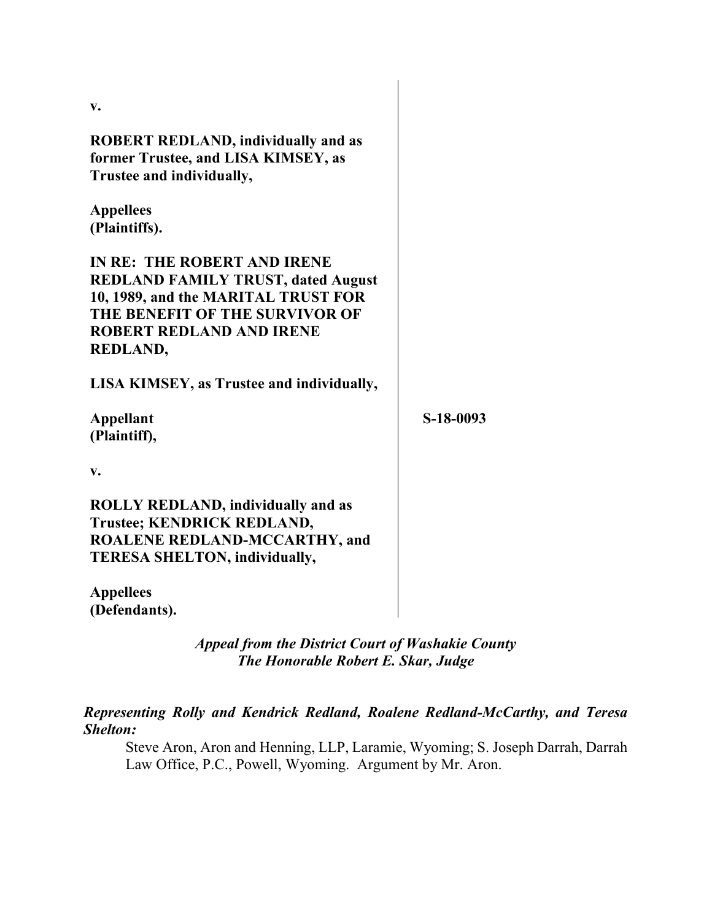| V.                                               |           |
|--------------------------------------------------|-----------|
| <b>ROBERT REDLAND, individually and as</b>       |           |
| former Trustee, and LISA KIMSEY, as              |           |
| Trustee and individually,                        |           |
| <b>Appellees</b>                                 |           |
| (Plaintiffs).                                    |           |
| IN RE: THE ROBERT AND IRENE                      |           |
| <b>REDLAND FAMILY TRUST, dated August</b>        |           |
| 10, 1989, and the MARITAL TRUST FOR              |           |
| THE BENEFIT OF THE SURVIVOR OF                   |           |
| <b>ROBERT REDLAND AND IRENE</b>                  |           |
| <b>REDLAND,</b>                                  |           |
| <b>LISA KIMSEY, as Trustee and individually,</b> |           |
| <b>Appellant</b>                                 | S-18-0093 |
| (Plaintiff),                                     |           |
| v.                                               |           |
| <b>ROLLY REDLAND, individually and as</b>        |           |
| Trustee; KENDRICK REDLAND,                       |           |
| <b>ROALENE REDLAND-MCCARTHY, and</b>             |           |
| <b>TERESA SHELTON, individually,</b>             |           |
| <b>Appellees</b>                                 |           |
| (Defendants).                                    |           |

#### *Appeal from the District Court of Washakie County The Honorable Robert E. Skar, Judge*

#### *Representing Rolly and Kendrick Redland, Roalene Redland-McCarthy, and Teresa Shelton:*

Steve Aron, Aron and Henning, LLP, Laramie, Wyoming; S. Joseph Darrah, Darrah Law Office, P.C., Powell, Wyoming. Argument by Mr. Aron.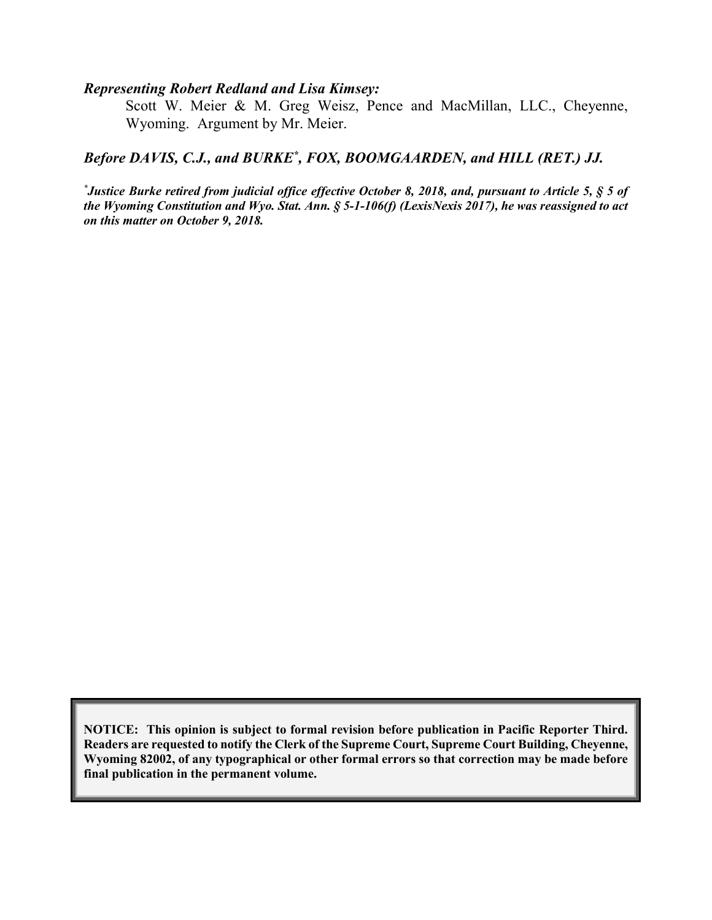#### *Representing Robert Redland and Lisa Kimsey:*

Scott W. Meier & M. Greg Weisz, Pence and MacMillan, LLC., Cheyenne, Wyoming. Argument by Mr. Meier.

#### Before DAVIS, C.J., and BURKE<sup>\*</sup>, FOX, BOOMGAARDEN, and HILL (RET.) JJ.

*\* Justice Burke retired from judicial office effective October 8, 2018, and, pursuant to Article 5, § 5 of the Wyoming Constitution and Wyo. Stat. Ann. § 5-1-106(f) (LexisNexis 2017), he was reassigned to act on this matter on October 9, 2018.*

**NOTICE: This opinion is subject to formal revision before publication in Pacific Reporter Third. Readers are requested to notify the Clerk of the Supreme Court, Supreme Court Building, Cheyenne, Wyoming 82002, of any typographical or other formal errors so that correction may be made before final publication in the permanent volume.**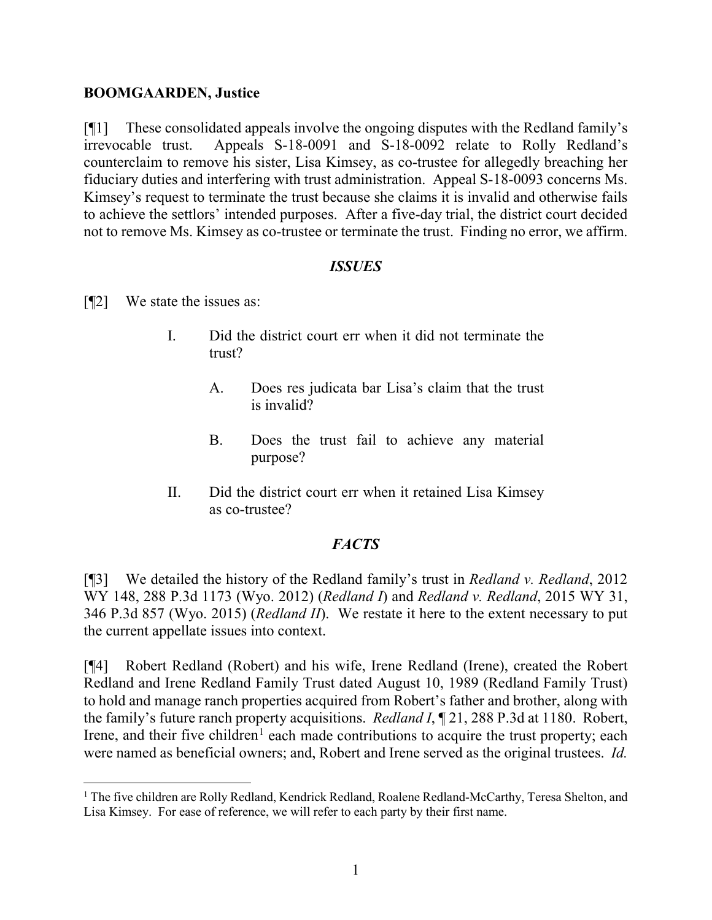#### **BOOMGAARDEN, Justice**

[¶1] These consolidated appeals involve the ongoing disputes with the Redland family's irrevocable trust. Appeals S-18-0091 and S-18-0092 relate to Rolly Redland's counterclaim to remove his sister, Lisa Kimsey, as co-trustee for allegedly breaching her fiduciary duties and interfering with trust administration. Appeal S-18-0093 concerns Ms. Kimsey's request to terminate the trust because she claims it is invalid and otherwise fails to achieve the settlors' intended purposes. After a five-day trial, the district court decided not to remove Ms. Kimsey as co-trustee or terminate the trust. Finding no error, we affirm.

#### *ISSUES*

- [¶2] We state the issues as:
	- I. Did the district court err when it did not terminate the trust?
		- A. Does res judicata bar Lisa's claim that the trust is invalid?
		- B. Does the trust fail to achieve any material purpose?
	- II. Did the district court err when it retained Lisa Kimsey as co-trustee?

### *FACTS*

[¶3] We detailed the history of the Redland family's trust in *Redland v. Redland*, 2012 WY 148, 288 P.3d 1173 (Wyo. 2012) (*Redland I*) and *Redland v. Redland*, 2015 WY 31, 346 P.3d 857 (Wyo. 2015) (*Redland II*). We restate it here to the extent necessary to put the current appellate issues into context.

[¶4] Robert Redland (Robert) and his wife, Irene Redland (Irene), created the Robert Redland and Irene Redland Family Trust dated August 10, 1989 (Redland Family Trust) to hold and manage ranch properties acquired from Robert's father and brother, along with the family's future ranch property acquisitions. *Redland I*, ¶ 21, 288 P.3d at 1180. Robert, Irene, and their five children<sup>[1](#page-3-0)</sup> each made contributions to acquire the trust property; each were named as beneficial owners; and, Robert and Irene served as the original trustees. *Id.*

<span id="page-3-0"></span><sup>&</sup>lt;sup>1</sup> The five children are Rolly Redland, Kendrick Redland, Roalene Redland-McCarthy, Teresa Shelton, and Lisa Kimsey. For ease of reference, we will refer to each party by their first name.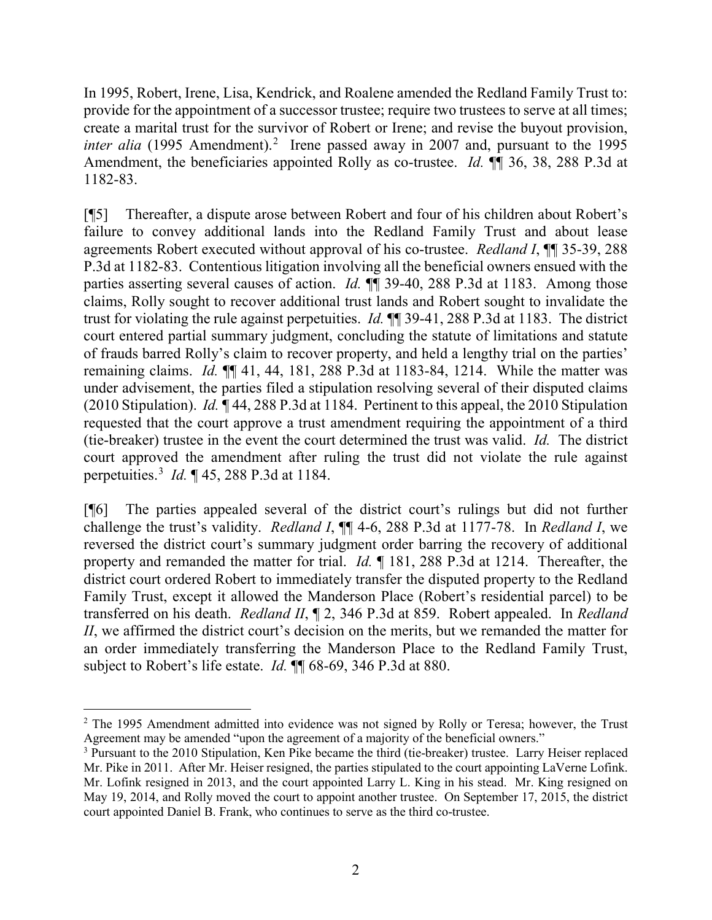In 1995, Robert, Irene, Lisa, Kendrick, and Roalene amended the Redland Family Trust to: provide for the appointment of a successor trustee; require two trustees to serve at all times; create a marital trust for the survivor of Robert or Irene; and revise the buyout provision, *inter alia* (1995 Amendment).<sup>[2](#page-4-0)</sup> Irene passed away in 2007 and, pursuant to the 1995 Amendment, the beneficiaries appointed Rolly as co-trustee. *Id.* **[1**] 36, 38, 288 P.3d at 1182-83.

[¶5] Thereafter, a dispute arose between Robert and four of his children about Robert's failure to convey additional lands into the Redland Family Trust and about lease agreements Robert executed without approval of his co-trustee. *Redland I*, ¶¶ 35-39, 288 P.3d at 1182-83. Contentious litigation involving all the beneficial owners ensued with the parties asserting several causes of action. *Id.* ¶¶ 39-40, 288 P.3d at 1183. Among those claims, Rolly sought to recover additional trust lands and Robert sought to invalidate the trust for violating the rule against perpetuities. *Id.* ¶¶ 39-41, 288 P.3d at 1183. The district court entered partial summary judgment, concluding the statute of limitations and statute of frauds barred Rolly's claim to recover property, and held a lengthy trial on the parties' remaining claims. *Id.* ¶¶ 41, 44, 181, 288 P.3d at 1183-84, 1214. While the matter was under advisement, the parties filed a stipulation resolving several of their disputed claims (2010 Stipulation). *Id.* ¶ 44, 288 P.3d at 1184.Pertinent to this appeal, the 2010 Stipulation requested that the court approve a trust amendment requiring the appointment of a third (tie-breaker) trustee in the event the court determined the trust was valid. *Id.* The district court approved the amendment after ruling the trust did not violate the rule against perpetuities. [3](#page-4-1) *Id.* ¶ 45, 288 P.3d at 1184.

[¶6] The parties appealed several of the district court's rulings but did not further challenge the trust's validity. *Redland I*, ¶¶ 4-6, 288 P.3d at 1177-78. In *Redland I*, we reversed the district court's summary judgment order barring the recovery of additional property and remanded the matter for trial. *Id.* ¶ 181, 288 P.3d at 1214. Thereafter, the district court ordered Robert to immediately transfer the disputed property to the Redland Family Trust, except it allowed the Manderson Place (Robert's residential parcel) to be transferred on his death. *Redland II*, ¶ 2, 346 P.3d at 859. Robert appealed. In *Redland II*, we affirmed the district court's decision on the merits, but we remanded the matter for an order immediately transferring the Manderson Place to the Redland Family Trust, subject to Robert's life estate. *Id.* ¶¶ 68-69, 346 P.3d at 880.

<span id="page-4-0"></span><sup>&</sup>lt;sup>2</sup> The 1995 Amendment admitted into evidence was not signed by Rolly or Teresa; however, the Trust Agreement may be amended "upon the agreement of a majority of the beneficial owners."

<span id="page-4-1"></span><sup>3</sup> Pursuant to the 2010 Stipulation, Ken Pike became the third (tie-breaker) trustee. Larry Heiser replaced Mr. Pike in 2011. After Mr. Heiser resigned, the parties stipulated to the court appointing LaVerne Lofink. Mr. Lofink resigned in 2013, and the court appointed Larry L. King in his stead. Mr. King resigned on May 19, 2014, and Rolly moved the court to appoint another trustee. On September 17, 2015, the district court appointed Daniel B. Frank, who continues to serve as the third co-trustee.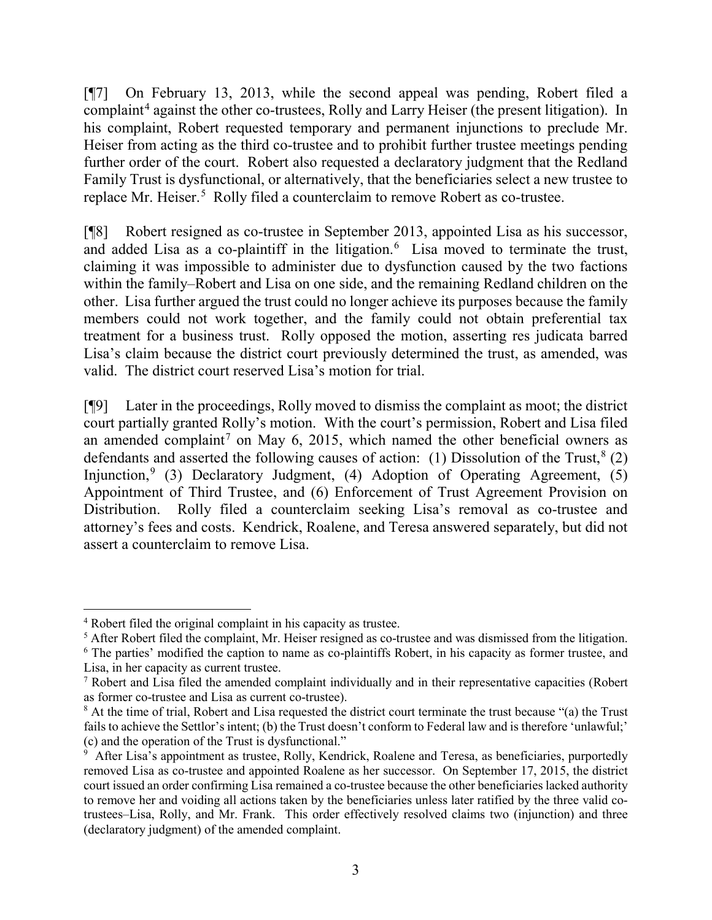[¶7] On February 13, 2013, while the second appeal was pending, Robert filed a complaint<sup>[4](#page-5-0)</sup> against the other co-trustees, Rolly and Larry Heiser (the present litigation). In his complaint, Robert requested temporary and permanent injunctions to preclude Mr. Heiser from acting as the third co-trustee and to prohibit further trustee meetings pending further order of the court. Robert also requested a declaratory judgment that the Redland Family Trust is dysfunctional, or alternatively, that the beneficiaries select a new trustee to replace Mr. Heiser.<sup>[5](#page-5-1)</sup> Rolly filed a counterclaim to remove Robert as co-trustee.

[¶8] Robert resigned as co-trustee in September 2013, appointed Lisa as his successor, and added Lisa as a co-plaintiff in the litigation. [6](#page-5-2) Lisa moved to terminate the trust, claiming it was impossible to administer due to dysfunction caused by the two factions within the family–Robert and Lisa on one side, and the remaining Redland children on the other. Lisa further argued the trust could no longer achieve its purposes because the family members could not work together, and the family could not obtain preferential tax treatment for a business trust. Rolly opposed the motion, asserting res judicata barred Lisa's claim because the district court previously determined the trust, as amended, was valid. The district court reserved Lisa's motion for trial.

[¶9] Later in the proceedings, Rolly moved to dismiss the complaint as moot; the district court partially granted Rolly's motion. With the court's permission, Robert and Lisa filed an amended complaint<sup>[7](#page-5-3)</sup> on May 6, 2015, which named the other beneficial owners as defendants and asserted the following causes of action: (1) Dissolution of the Trust,  $8(2)$  $8(2)$ Injunction, [9](#page-5-5) (3) Declaratory Judgment, (4) Adoption of Operating Agreement, (5) Appointment of Third Trustee, and (6) Enforcement of Trust Agreement Provision on Distribution. Rolly filed a counterclaim seeking Lisa's removal as co-trustee and attorney's fees and costs. Kendrick, Roalene, and Teresa answered separately, but did not assert a counterclaim to remove Lisa.

<span id="page-5-0"></span> <sup>4</sup> Robert filed the original complaint in his capacity as trustee.

<span id="page-5-1"></span><sup>&</sup>lt;sup>5</sup> After Robert filed the complaint, Mr. Heiser resigned as co-trustee and was dismissed from the litigation.

<span id="page-5-2"></span><sup>&</sup>lt;sup>6</sup> The parties' modified the caption to name as co-plaintiffs Robert, in his capacity as former trustee, and Lisa, in her capacity as current trustee.

<span id="page-5-3"></span><sup>7</sup> Robert and Lisa filed the amended complaint individually and in their representative capacities (Robert as former co-trustee and Lisa as current co-trustee).

<span id="page-5-4"></span><sup>8</sup> At the time of trial, Robert and Lisa requested the district court terminate the trust because "(a) the Trust fails to achieve the Settlor's intent; (b) the Trust doesn't conform to Federal law and is therefore 'unlawful;'

<span id="page-5-5"></span><sup>(</sup>c) and the operation of the Trust is dysfunctional."<br><sup>9</sup> After Lisa's appointment as trustee, Rolly, Kendrick, Roalene and Teresa, as beneficiaries, purportedly removed Lisa as co-trustee and appointed Roalene as her successor. On September 17, 2015, the district court issued an order confirming Lisa remained a co-trustee because the other beneficiaries lacked authority to remove her and voiding all actions taken by the beneficiaries unless later ratified by the three valid cotrustees–Lisa, Rolly, and Mr. Frank. This order effectively resolved claims two (injunction) and three (declaratory judgment) of the amended complaint.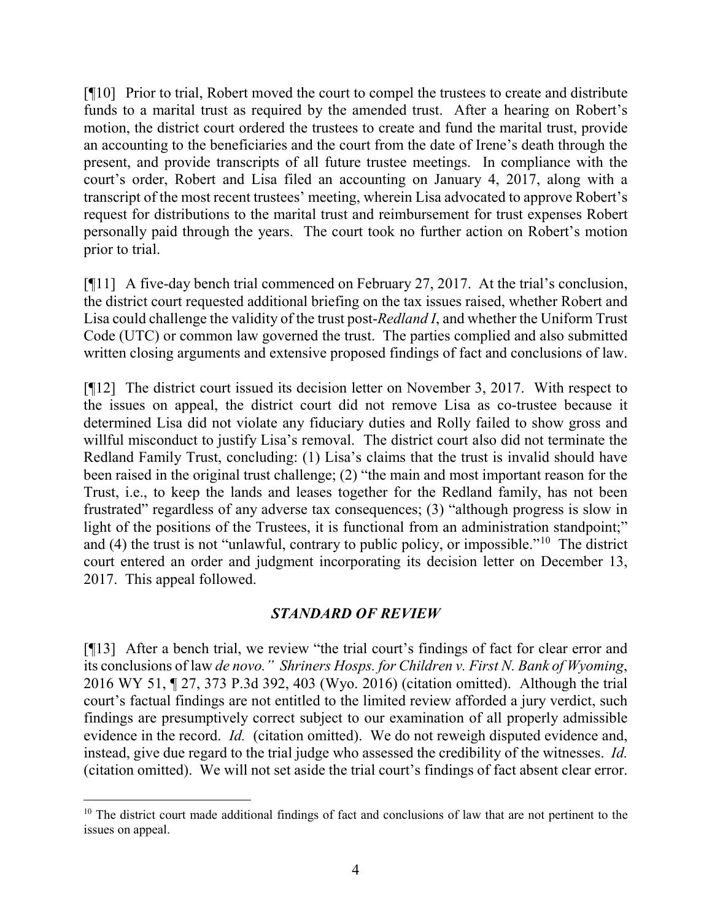[¶10] Prior to trial, Robert moved the court to compel the trustees to create and distribute funds to a marital trust as required by the amended trust. After a hearing on Robert's motion, the district court ordered the trustees to create and fund the marital trust, provide an accounting to the beneficiaries and the court from the date of Irene's death through the present, and provide transcripts of all future trustee meetings. In compliance with the court's order, Robert and Lisa filed an accounting on January 4, 2017, along with a transcript of the most recent trustees' meeting, wherein Lisa advocated to approve Robert's request for distributions to the marital trust and reimbursement for trust expenses Robert personally paid through the years. The court took no further action on Robert's motion prior to trial.

[¶11] A five-day bench trial commenced on February 27, 2017. At the trial's conclusion, the district court requested additional briefing on the tax issues raised, whether Robert and Lisa could challenge the validity of the trust post-*Redland I*, and whether the Uniform Trust Code (UTC) or common law governed the trust. The parties complied and also submitted written closing arguments and extensive proposed findings of fact and conclusions of law.

[¶12] The district court issued its decision letter on November 3, 2017. With respect to the issues on appeal, the district court did not remove Lisa as co-trustee because it determined Lisa did not violate any fiduciary duties and Rolly failed to show gross and willful misconduct to justify Lisa's removal. The district court also did not terminate the Redland Family Trust, concluding: (1) Lisa's claims that the trust is invalid should have been raised in the original trust challenge; (2) "the main and most important reason for the Trust, i.e., to keep the lands and leases together for the Redland family, has not been frustrated" regardless of any adverse tax consequences; (3) "although progress is slow in light of the positions of the Trustees, it is functional from an administration standpoint;" and (4) the trust is not "unlawful, contrary to public policy, or impossible."[10](#page-6-0) The district court entered an order and judgment incorporating its decision letter on December 13, 2017. This appeal followed.

#### *STANDARD OF REVIEW*

[¶13] After a bench trial, we review "the trial court's findings of fact for clear error and its conclusions of law *de novo." Shriners Hosps. for Children v. First N. Bank of Wyoming*, 2016 WY 51, ¶ 27, 373 P.3d 392, 403 (Wyo. 2016) (citation omitted). Although the trial court's factual findings are not entitled to the limited review afforded a jury verdict, such findings are presumptively correct subject to our examination of all properly admissible evidence in the record. *Id.* (citation omitted). We do not reweigh disputed evidence and, instead, give due regard to the trial judge who assessed the credibility of the witnesses. *Id.*  (citation omitted). We will not set aside the trial court's findings of fact absent clear error.

<span id="page-6-0"></span> $10$  The district court made additional findings of fact and conclusions of law that are not pertinent to the issues on appeal.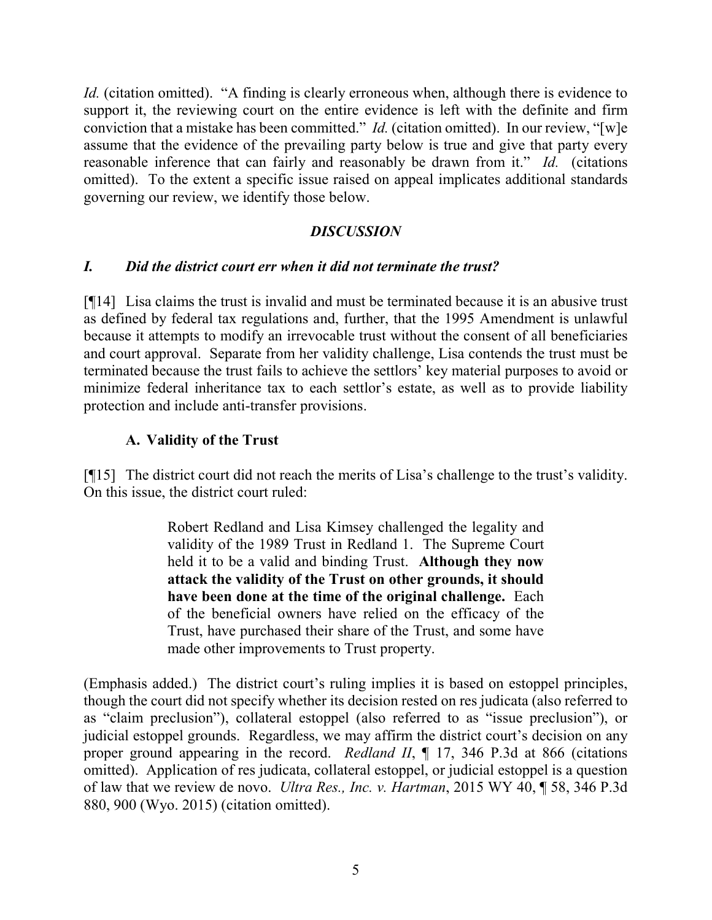*Id.* (citation omitted). "A finding is clearly erroneous when, although there is evidence to support it, the reviewing court on the entire evidence is left with the definite and firm conviction that a mistake has been committed." *Id.* (citation omitted). In our review, "[w]e assume that the evidence of the prevailing party below is true and give that party every reasonable inference that can fairly and reasonably be drawn from it." *Id.* (citations omitted). To the extent a specific issue raised on appeal implicates additional standards governing our review, we identify those below.

#### *DISCUSSION*

## *I. Did the district court err when it did not terminate the trust?*

[¶14] Lisa claims the trust is invalid and must be terminated because it is an abusive trust as defined by federal tax regulations and, further, that the 1995 Amendment is unlawful because it attempts to modify an irrevocable trust without the consent of all beneficiaries and court approval. Separate from her validity challenge, Lisa contends the trust must be terminated because the trust fails to achieve the settlors' key material purposes to avoid or minimize federal inheritance tax to each settlor's estate, as well as to provide liability protection and include anti-transfer provisions.

## **A. Validity of the Trust**

[¶15] The district court did not reach the merits of Lisa's challenge to the trust's validity. On this issue, the district court ruled:

> Robert Redland and Lisa Kimsey challenged the legality and validity of the 1989 Trust in Redland 1. The Supreme Court held it to be a valid and binding Trust. **Although they now attack the validity of the Trust on other grounds, it should have been done at the time of the original challenge.** Each of the beneficial owners have relied on the efficacy of the Trust, have purchased their share of the Trust, and some have made other improvements to Trust property.

(Emphasis added.) The district court's ruling implies it is based on estoppel principles, though the court did not specify whether its decision rested on res judicata (also referred to as "claim preclusion"), collateral estoppel (also referred to as "issue preclusion"), or judicial estoppel grounds. Regardless, we may affirm the district court's decision on any proper ground appearing in the record. *Redland II*, ¶ 17, 346 P.3d at 866 (citations omitted). Application of res judicata, collateral estoppel, or judicial estoppel is a question of law that we review de novo. *Ultra Res., Inc. v. Hartman*, 2015 WY 40, ¶ 58, 346 P.3d 880, 900 (Wyo. 2015) (citation omitted).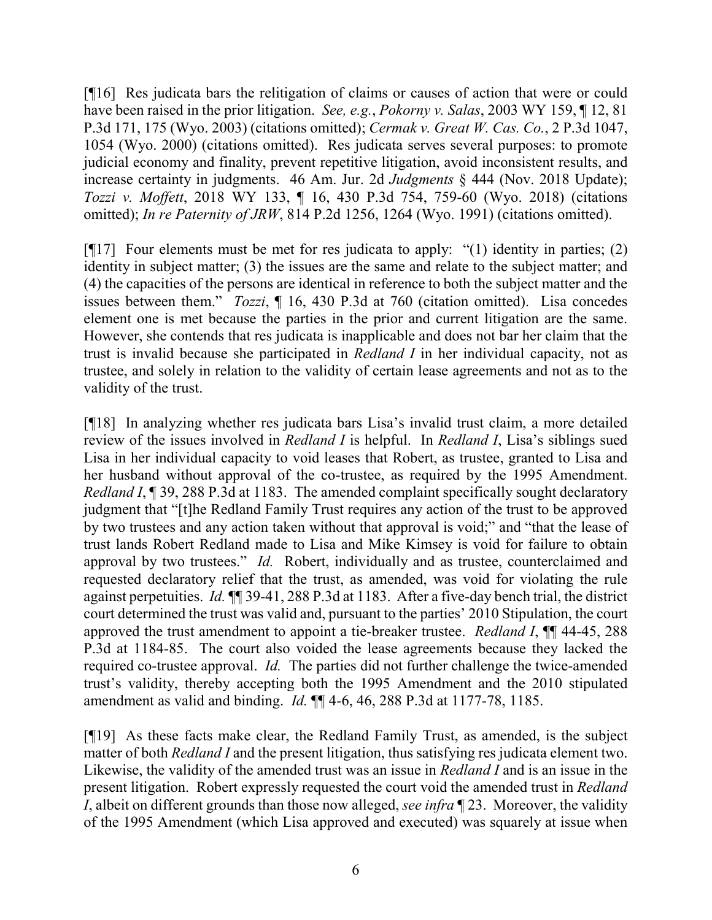[¶16] Res judicata bars the relitigation of claims or causes of action that were or could have been raised in the prior litigation. *See, e.g.*, *Pokorny v. Salas*, 2003 WY 159, ¶ 12, 81 P.3d 171, 175 (Wyo. 2003) (citations omitted); *Cermak v. Great W. Cas. Co.*, 2 P.3d 1047, 1054 (Wyo. 2000) (citations omitted). Res judicata serves several purposes: to promote judicial economy and finality, prevent repetitive litigation, avoid inconsistent results, and increase certainty in judgments. 46 Am. Jur. 2d *Judgments* § 444 (Nov. 2018 Update); *Tozzi v. Moffett*, 2018 WY 133, ¶ 16, 430 P.3d 754, 759-60 (Wyo. 2018) (citations omitted); *In re Paternity of JRW*, 814 P.2d 1256, 1264 (Wyo. 1991) (citations omitted).

[¶17] Four elements must be met for res judicata to apply: "(1) identity in parties; (2) identity in subject matter; (3) the issues are the same and relate to the subject matter; and (4) the capacities of the persons are identical in reference to both the subject matter and the issues between them." *Tozzi*, ¶ 16, 430 P.3d at 760 (citation omitted). Lisa concedes element one is met because the parties in the prior and current litigation are the same. However, she contends that res judicata is inapplicable and does not bar her claim that the trust is invalid because she participated in *Redland I* in her individual capacity, not as trustee, and solely in relation to the validity of certain lease agreements and not as to the validity of the trust.

[¶18] In analyzing whether res judicata bars Lisa's invalid trust claim, a more detailed review of the issues involved in *Redland I* is helpful. In *Redland I*, Lisa's siblings sued Lisa in her individual capacity to void leases that Robert, as trustee, granted to Lisa and her husband without approval of the co-trustee, as required by the 1995 Amendment. *Redland I*, ¶ 39, 288 P.3d at 1183. The amended complaint specifically sought declaratory judgment that "[t]he Redland Family Trust requires any action of the trust to be approved by two trustees and any action taken without that approval is void;" and "that the lease of trust lands Robert Redland made to Lisa and Mike Kimsey is void for failure to obtain approval by two trustees." *Id.* Robert, individually and as trustee, counterclaimed and requested declaratory relief that the trust, as amended, was void for violating the rule against perpetuities. *Id.* ¶¶ 39-41, 288 P.3d at 1183. After a five-day bench trial, the district court determined the trust was valid and, pursuant to the parties' 2010 Stipulation, the court approved the trust amendment to appoint a tie-breaker trustee. *Redland I*, ¶¶ 44-45, 288 P.3d at 1184-85. The court also voided the lease agreements because they lacked the required co-trustee approval. *Id.* The parties did not further challenge the twice-amended trust's validity, thereby accepting both the 1995 Amendment and the 2010 stipulated amendment as valid and binding. *Id.* ¶¶ 4-6, 46, 288 P.3d at 1177-78, 1185.

[¶19] As these facts make clear, the Redland Family Trust, as amended, is the subject matter of both *Redland I* and the present litigation, thus satisfying res judicata element two. Likewise, the validity of the amended trust was an issue in *Redland I* and is an issue in the present litigation. Robert expressly requested the court void the amended trust in *Redland I*, albeit on different grounds than those now alleged, *see infra* ¶ 23. Moreover, the validity of the 1995 Amendment (which Lisa approved and executed) was squarely at issue when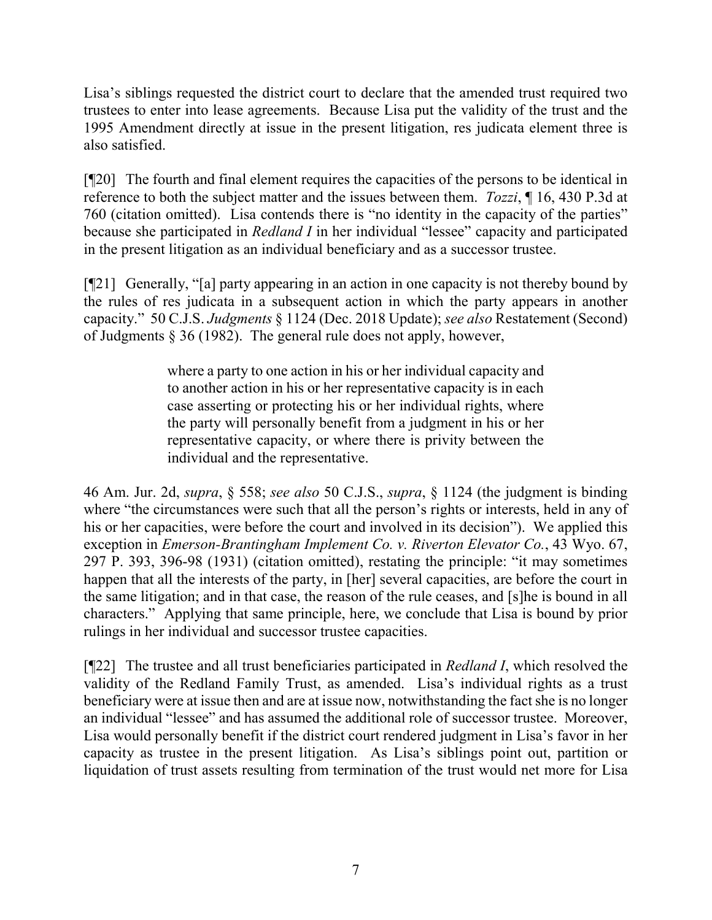Lisa's siblings requested the district court to declare that the amended trust required two trustees to enter into lease agreements. Because Lisa put the validity of the trust and the 1995 Amendment directly at issue in the present litigation, res judicata element three is also satisfied.

[¶20] The fourth and final element requires the capacities of the persons to be identical in reference to both the subject matter and the issues between them. *Tozzi*, ¶ 16, 430 P.3d at 760 (citation omitted). Lisa contends there is "no identity in the capacity of the parties" because she participated in *Redland I* in her individual "lessee" capacity and participated in the present litigation as an individual beneficiary and as a successor trustee.

[¶21] Generally, "[a] party appearing in an action in one capacity is not thereby bound by the rules of res judicata in a subsequent action in which the party appears in another capacity." 50 C.J.S. *Judgments* § 1124 (Dec. 2018 Update); *see also* Restatement (Second) of Judgments § 36 (1982). The general rule does not apply, however,

> where a party to one action in his or her individual capacity and to another action in his or her representative capacity is in each case asserting or protecting his or her individual rights, where the party will personally benefit from a judgment in his or her representative capacity, or where there is privity between the individual and the representative.

46 Am. Jur. 2d, *supra*, § 558; *see also* 50 C.J.S., *supra*, § 1124 (the judgment is binding where "the circumstances were such that all the person's rights or interests, held in any of his or her capacities, were before the court and involved in its decision"). We applied this exception in *Emerson-Brantingham Implement Co. v. Riverton Elevator Co.*, 43 Wyo. 67, 297 P. 393, 396-98 (1931) (citation omitted), restating the principle: "it may sometimes happen that all the interests of the party, in [her] several capacities, are before the court in the same litigation; and in that case, the reason of the rule ceases, and [s]he is bound in all characters." Applying that same principle, here, we conclude that Lisa is bound by prior rulings in her individual and successor trustee capacities.

[¶22] The trustee and all trust beneficiaries participated in *Redland I*, which resolved the validity of the Redland Family Trust, as amended. Lisa's individual rights as a trust beneficiary were at issue then and are at issue now, notwithstanding the fact she is no longer an individual "lessee" and has assumed the additional role of successor trustee. Moreover, Lisa would personally benefit if the district court rendered judgment in Lisa's favor in her capacity as trustee in the present litigation. As Lisa's siblings point out, partition or liquidation of trust assets resulting from termination of the trust would net more for Lisa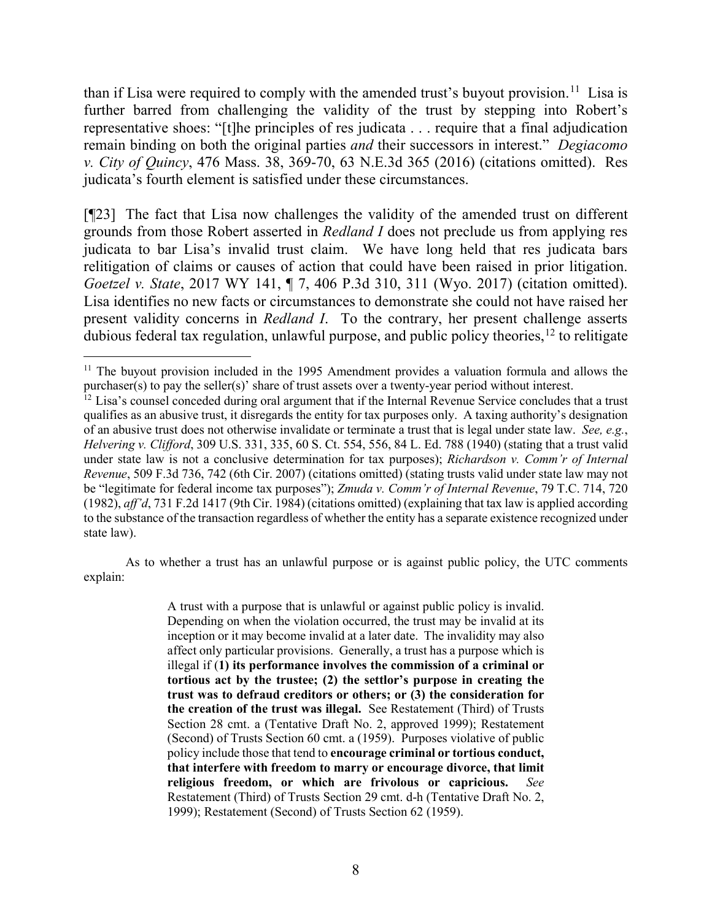than if Lisa were required to comply with the amended trust's buyout provision.<sup>11</sup> Lisa is further barred from challenging the validity of the trust by stepping into Robert's representative shoes: "[t]he principles of res judicata . . . require that a final adjudication remain binding on both the original parties *and* their successors in interest." *Degiacomo v. City of Quincy*, 476 Mass. 38, 369-70, 63 N.E.3d 365 (2016) (citations omitted). Res judicata's fourth element is satisfied under these circumstances.

[¶23] The fact that Lisa now challenges the validity of the amended trust on different grounds from those Robert asserted in *Redland I* does not preclude us from applying res judicata to bar Lisa's invalid trust claim. We have long held that res judicata bars relitigation of claims or causes of action that could have been raised in prior litigation. *Goetzel v. State*, 2017 WY 141, ¶ 7, 406 P.3d 310, 311 (Wyo. 2017) (citation omitted). Lisa identifies no new facts or circumstances to demonstrate she could not have raised her present validity concerns in *Redland I*. To the contrary, her present challenge asserts dubious federal tax regulation, unlawful purpose, and public policy theories,  $^{12}$  $^{12}$  $^{12}$  to relitigate

As to whether a trust has an unlawful purpose or is against public policy, the UTC comments explain:

> A trust with a purpose that is unlawful or against public policy is invalid. Depending on when the violation occurred, the trust may be invalid at its inception or it may become invalid at a later date. The invalidity may also affect only particular provisions. Generally, a trust has a purpose which is illegal if (**1) its performance involves the commission of a criminal or tortious act by the trustee; (2) the settlor's purpose in creating the trust was to defraud creditors or others; or (3) the consideration for the creation of the trust was illegal.** See Restatement (Third) of Trusts Section 28 cmt. a (Tentative Draft No. 2, approved 1999); Restatement (Second) of Trusts Section 60 cmt. a (1959). Purposes violative of public policy include those that tend to **encourage criminal or tortious conduct, that interfere with freedom to marry or encourage divorce, that limit religious freedom, or which are frivolous or capricious.** *See* Restatement (Third) of Trusts Section 29 cmt. d-h (Tentative Draft No. 2, 1999); Restatement (Second) of Trusts Section 62 (1959).

<span id="page-10-0"></span> $11$  The buyout provision included in the 1995 Amendment provides a valuation formula and allows the purchaser(s) to pay the seller(s)' share of trust assets over a twenty-year period without interest.

<span id="page-10-1"></span> $12$  Lisa's counsel conceded during oral argument that if the Internal Revenue Service concludes that a trust qualifies as an abusive trust, it disregards the entity for tax purposes only. A taxing authority's designation of an abusive trust does not otherwise invalidate or terminate a trust that is legal under state law. *See, e.g.*, *Helvering v. Clifford*, 309 U.S. 331, 335, 60 S. Ct. 554, 556, 84 L. Ed. 788 (1940) (stating that a trust valid under state law is not a conclusive determination for tax purposes); *Richardson v. Comm'r of Internal Revenue*, 509 F.3d 736, 742 (6th Cir. 2007) (citations omitted) (stating trusts valid under state law may not be "legitimate for federal income tax purposes"); *Zmuda v. Comm'r of Internal Revenue*, 79 T.C. 714, 720 (1982), *aff'd*, 731 F.2d 1417 (9th Cir. 1984) (citations omitted) (explaining that tax law is applied according to the substance of the transaction regardless of whether the entity has a separate existence recognized under state law).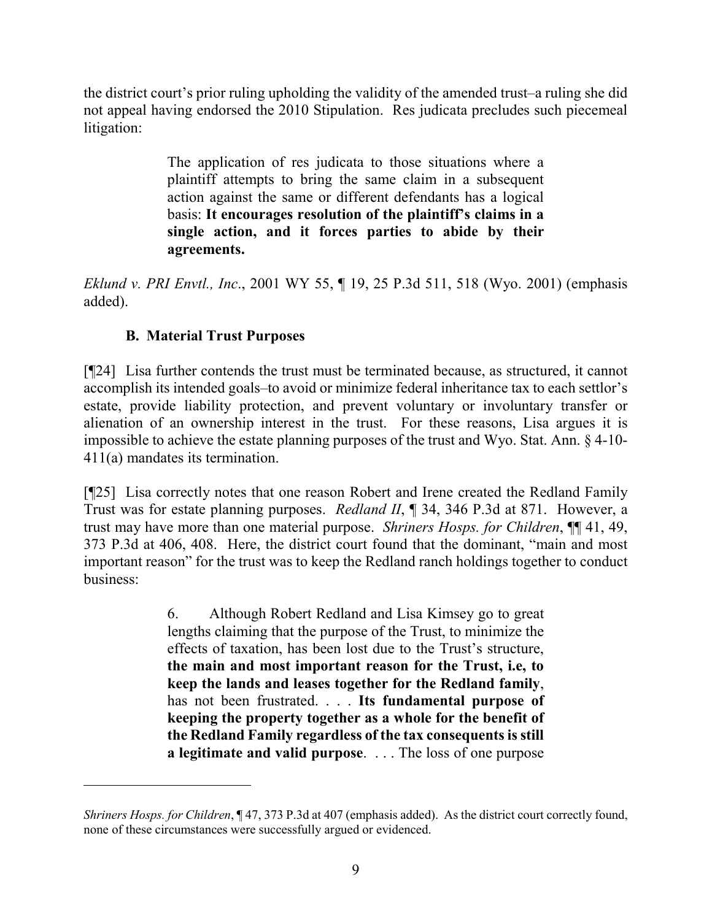the district court's prior ruling upholding the validity of the amended trust–a ruling she did not appeal having endorsed the 2010 Stipulation. Res judicata precludes such piecemeal litigation:

> The application of res judicata to those situations where a plaintiff attempts to bring the same claim in a subsequent action against the same or different defendants has a logical basis: **It encourages resolution of the plaintiff's claims in a single action, and it forces parties to abide by their agreements.**

*Eklund v. PRI Envtl., Inc*., 2001 WY 55, ¶ 19, 25 P.3d 511, 518 (Wyo. 2001) (emphasis added).

### **B. Material Trust Purposes**

 $\overline{a}$ 

[¶24] Lisa further contends the trust must be terminated because, as structured, it cannot accomplish its intended goals–to avoid or minimize federal inheritance tax to each settlor's estate, provide liability protection, and prevent voluntary or involuntary transfer or alienation of an ownership interest in the trust. For these reasons, Lisa argues it is impossible to achieve the estate planning purposes of the trust and Wyo. Stat. Ann. § 4-10- 411(a) mandates its termination.

[¶25] Lisa correctly notes that one reason Robert and Irene created the Redland Family Trust was for estate planning purposes. *Redland II*, ¶ 34, 346 P.3d at 871. However, a trust may have more than one material purpose. *Shriners Hosps. for Children*, ¶¶ 41, 49, 373 P.3d at 406, 408. Here, the district court found that the dominant, "main and most important reason" for the trust was to keep the Redland ranch holdings together to conduct business:

> 6. Although Robert Redland and Lisa Kimsey go to great lengths claiming that the purpose of the Trust, to minimize the effects of taxation, has been lost due to the Trust's structure, **the main and most important reason for the Trust, i.e, to keep the lands and leases together for the Redland family**, has not been frustrated. . . . **Its fundamental purpose of keeping the property together as a whole for the benefit of the Redland Family regardless of the tax consequents is still a legitimate and valid purpose**. . . . The loss of one purpose

*Shriners Hosps. for Children*, ¶ 47, 373 P.3d at 407 (emphasis added). As the district court correctly found, none of these circumstances were successfully argued or evidenced.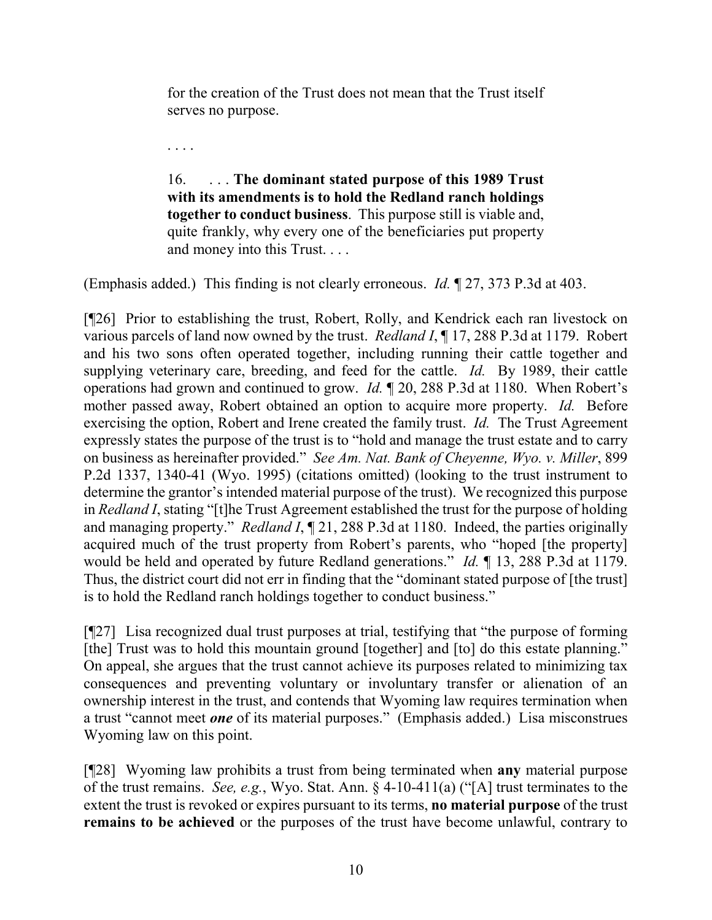for the creation of the Trust does not mean that the Trust itself serves no purpose.

. . . .

16. . . . **The dominant stated purpose of this 1989 Trust with its amendments is to hold the Redland ranch holdings together to conduct business**. This purpose still is viable and, quite frankly, why every one of the beneficiaries put property and money into this Trust. . . .

(Emphasis added.) This finding is not clearly erroneous. *Id.* ¶ 27, 373 P.3d at 403.

[¶26] Prior to establishing the trust, Robert, Rolly, and Kendrick each ran livestock on various parcels of land now owned by the trust. *Redland I*, ¶ 17, 288 P.3d at 1179. Robert and his two sons often operated together, including running their cattle together and supplying veterinary care, breeding, and feed for the cattle. *Id.* By 1989, their cattle operations had grown and continued to grow. *Id.* ¶ 20, 288 P.3d at 1180. When Robert's mother passed away, Robert obtained an option to acquire more property. *Id.* Before exercising the option, Robert and Irene created the family trust. *Id.* The Trust Agreement expressly states the purpose of the trust is to "hold and manage the trust estate and to carry on business as hereinafter provided." *See Am. Nat. Bank of Cheyenne, Wyo. v. Miller*, 899 P.2d 1337, 1340-41 (Wyo. 1995) (citations omitted) (looking to the trust instrument to determine the grantor's intended material purpose of the trust). We recognized this purpose in *Redland I*, stating "[t]he Trust Agreement established the trust for the purpose of holding and managing property." *Redland I*, 121, 288 P.3d at 1180. Indeed, the parties originally acquired much of the trust property from Robert's parents, who "hoped [the property] would be held and operated by future Redland generations." *Id.* ¶ 13, 288 P.3d at 1179. Thus, the district court did not err in finding that the "dominant stated purpose of [the trust] is to hold the Redland ranch holdings together to conduct business."

[¶27] Lisa recognized dual trust purposes at trial, testifying that "the purpose of forming [the] Trust was to hold this mountain ground [together] and [to] do this estate planning." On appeal, she argues that the trust cannot achieve its purposes related to minimizing tax consequences and preventing voluntary or involuntary transfer or alienation of an ownership interest in the trust, and contends that Wyoming law requires termination when a trust "cannot meet *one* of its material purposes." (Emphasis added.) Lisa misconstrues Wyoming law on this point.

[¶28] Wyoming law prohibits a trust from being terminated when **any** material purpose of the trust remains. *See, e.g.*, Wyo. Stat. Ann. § 4-10-411(a) ("[A] trust terminates to the extent the trust is revoked or expires pursuant to its terms, **no material purpose** of the trust **remains to be achieved** or the purposes of the trust have become unlawful, contrary to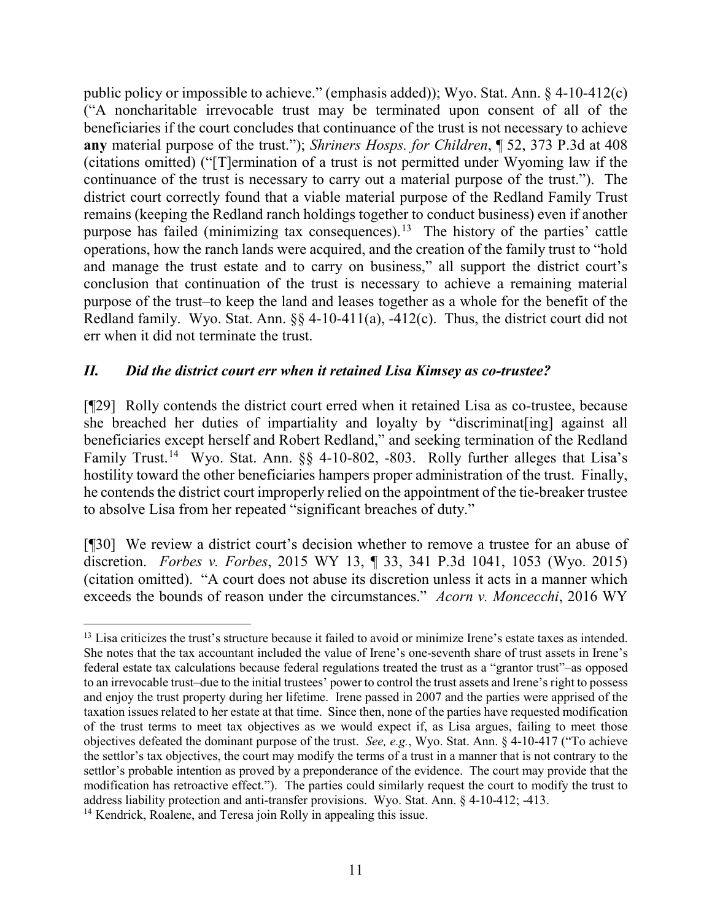public policy or impossible to achieve." (emphasis added)); Wyo. Stat. Ann. § 4-10-412(c) ("A noncharitable irrevocable trust may be terminated upon consent of all of the beneficiaries if the court concludes that continuance of the trust is not necessary to achieve **any** material purpose of the trust."); *Shriners Hosps. for Children*, ¶ 52, 373 P.3d at 408 (citations omitted) ("[T]ermination of a trust is not permitted under Wyoming law if the continuance of the trust is necessary to carry out a material purpose of the trust."). The district court correctly found that a viable material purpose of the Redland Family Trust remains (keeping the Redland ranch holdings together to conduct business) even if another purpose has failed (minimizing tax consequences).<sup>[13](#page-13-0)</sup> The history of the parties' cattle operations, how the ranch lands were acquired, and the creation of the family trust to "hold and manage the trust estate and to carry on business," all support the district court's conclusion that continuation of the trust is necessary to achieve a remaining material purpose of the trust–to keep the land and leases together as a whole for the benefit of the Redland family. Wyo. Stat. Ann. §§ 4-10-411(a), -412(c). Thus, the district court did not err when it did not terminate the trust.

#### *II. Did the district court err when it retained Lisa Kimsey as co-trustee?*

[¶29] Rolly contends the district court erred when it retained Lisa as co-trustee, because she breached her duties of impartiality and loyalty by "discriminat[ing] against all beneficiaries except herself and Robert Redland," and seeking termination of the Redland Family Trust.<sup>14</sup> Wyo. Stat. Ann. §§ 4-10-802, -803. Rolly further alleges that Lisa's hostility toward the other beneficiaries hampers proper administration of the trust. Finally, he contends the district court improperly relied on the appointment of the tie-breaker trustee to absolve Lisa from her repeated "significant breaches of duty."

[¶30] We review a district court's decision whether to remove a trustee for an abuse of discretion. *Forbes v. Forbes*, 2015 WY 13, ¶ 33, 341 P.3d 1041, 1053 (Wyo. 2015) (citation omitted). "A court does not abuse its discretion unless it acts in a manner which exceeds the bounds of reason under the circumstances." *Acorn v. Moncecchi*, 2016 WY

<span id="page-13-0"></span><sup>&</sup>lt;sup>13</sup> Lisa criticizes the trust's structure because it failed to avoid or minimize Irene's estate taxes as intended. She notes that the tax accountant included the value of Irene's one-seventh share of trust assets in Irene's federal estate tax calculations because federal regulations treated the trust as a "grantor trust"–as opposed to an irrevocable trust–due to the initial trustees' power to control the trust assets and Irene's right to possess and enjoy the trust property during her lifetime. Irene passed in 2007 and the parties were apprised of the taxation issues related to her estate at that time. Since then, none of the parties have requested modification of the trust terms to meet tax objectives as we would expect if, as Lisa argues, failing to meet those objectives defeated the dominant purpose of the trust. *See, e.g.*, Wyo. Stat. Ann. § 4-10-417 ("To achieve the settlor's tax objectives, the court may modify the terms of a trust in a manner that is not contrary to the settlor's probable intention as proved by a preponderance of the evidence. The court may provide that the modification has retroactive effect."). The parties could similarly request the court to modify the trust to address liability protection and anti-transfer provisions. Wyo. Stat. Ann. § 4-10-412; -413. 14 Kendrick, Roalene, and Teresa join Rolly in appealing this issue.

<span id="page-13-1"></span>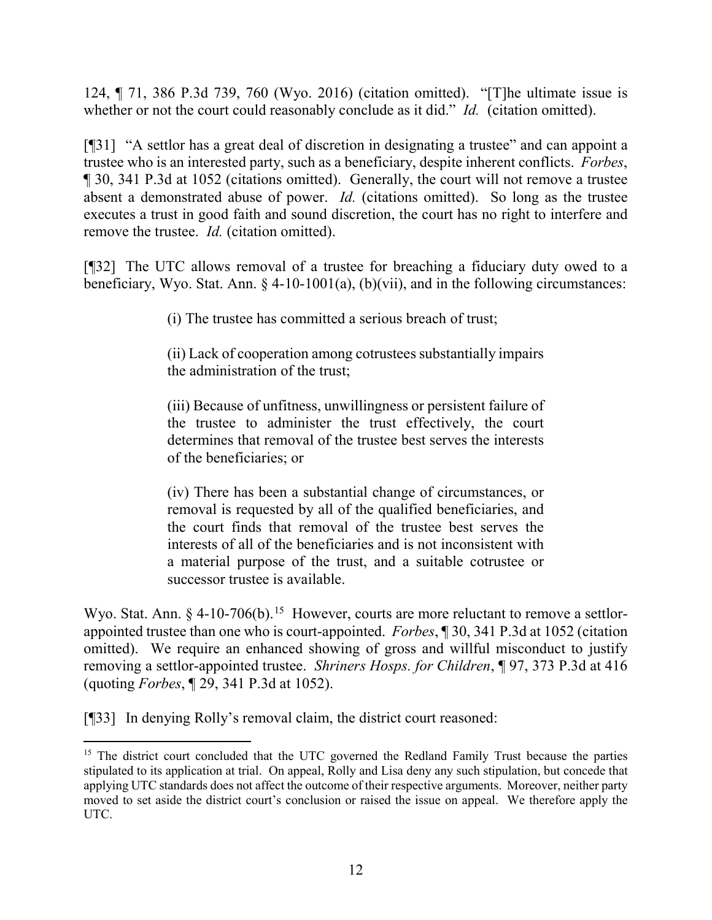124, ¶ 71, 386 P.3d 739, 760 (Wyo. 2016) (citation omitted). "[T]he ultimate issue is whether or not the court could reasonably conclude as it did." *Id.* (citation omitted).

[¶31] "A settlor has a great deal of discretion in designating a trustee" and can appoint a trustee who is an interested party, such as a beneficiary, despite inherent conflicts. *Forbes*, ¶ 30, 341 P.3d at 1052 (citations omitted). Generally, the court will not remove a trustee absent a demonstrated abuse of power. *Id.* (citations omitted). So long as the trustee executes a trust in good faith and sound discretion, the court has no right to interfere and remove the trustee. *Id.* (citation omitted).

[¶32] The UTC allows removal of a trustee for breaching a fiduciary duty owed to a beneficiary, Wyo. Stat. Ann.  $\S$  4-10-1001(a), (b)(vii), and in the following circumstances:

(i) The trustee has committed a serious breach of trust;

(ii) Lack of cooperation among cotrustees substantially impairs the administration of the trust;

(iii) Because of unfitness, unwillingness or persistent failure of the trustee to administer the trust effectively, the court determines that removal of the trustee best serves the interests of the beneficiaries; or

(iv) There has been a substantial change of circumstances, or removal is requested by all of the qualified beneficiaries, and the court finds that removal of the trustee best serves the interests of all of the beneficiaries and is not inconsistent with a material purpose of the trust, and a suitable cotrustee or successor trustee is available.

Wyo. Stat. Ann. § 4-10-706(b).<sup>15</sup> However, courts are more reluctant to remove a settlorappointed trustee than one who is court-appointed. *Forbes*, ¶ 30, 341 P.3d at 1052 (citation omitted). We require an enhanced showing of gross and willful misconduct to justify removing a settlor-appointed trustee. *Shriners Hosps. for Children*, ¶ 97, 373 P.3d at 416 (quoting *Forbes*, ¶ 29, 341 P.3d at 1052).

[¶33] In denying Rolly's removal claim, the district court reasoned:

<span id="page-14-0"></span><sup>&</sup>lt;sup>15</sup> The district court concluded that the UTC governed the Redland Family Trust because the parties stipulated to its application at trial. On appeal, Rolly and Lisa deny any such stipulation, but concede that applying UTC standards does not affect the outcome of their respective arguments. Moreover, neither party moved to set aside the district court's conclusion or raised the issue on appeal. We therefore apply the UTC.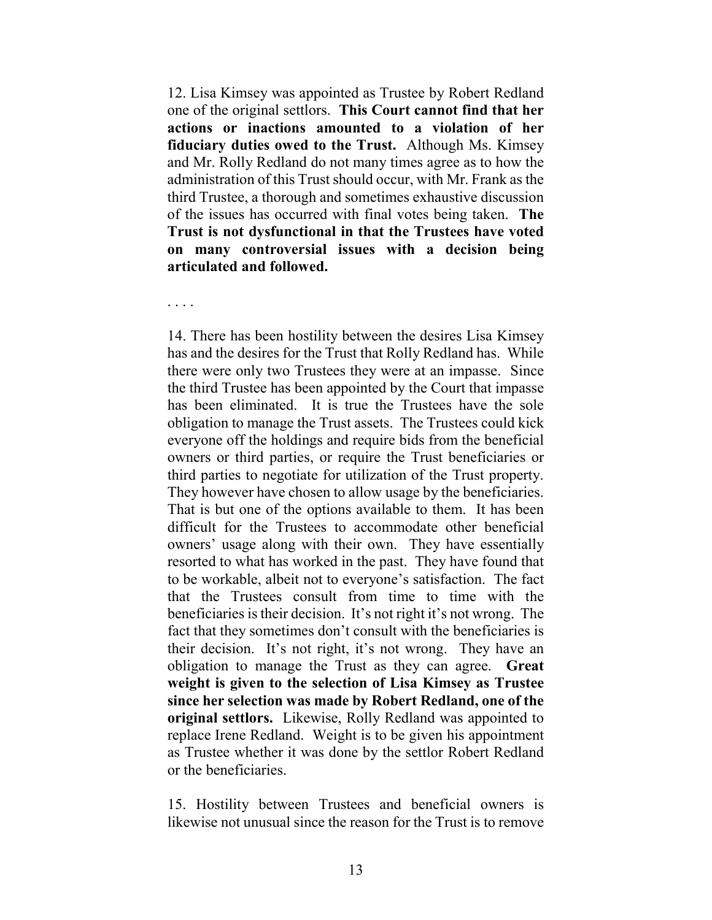12. Lisa Kimsey was appointed as Trustee by Robert Redland one of the original settlors. **This Court cannot find that her actions or inactions amounted to a violation of her fiduciary duties owed to the Trust.** Although Ms. Kimsey and Mr. Rolly Redland do not many times agree as to how the administration of this Trust should occur, with Mr. Frank as the third Trustee, a thorough and sometimes exhaustive discussion of the issues has occurred with final votes being taken. **The Trust is not dysfunctional in that the Trustees have voted on many controversial issues with a decision being articulated and followed.**

. . . .

14. There has been hostility between the desires Lisa Kimsey has and the desires for the Trust that Rolly Redland has. While there were only two Trustees they were at an impasse. Since the third Trustee has been appointed by the Court that impasse has been eliminated. It is true the Trustees have the sole obligation to manage the Trust assets. The Trustees could kick everyone off the holdings and require bids from the beneficial owners or third parties, or require the Trust beneficiaries or third parties to negotiate for utilization of the Trust property. They however have chosen to allow usage by the beneficiaries. That is but one of the options available to them. It has been difficult for the Trustees to accommodate other beneficial owners' usage along with their own. They have essentially resorted to what has worked in the past. They have found that to be workable, albeit not to everyone's satisfaction. The fact that the Trustees consult from time to time with the beneficiaries is their decision. It's not right it's not wrong. The fact that they sometimes don't consult with the beneficiaries is their decision. It's not right, it's not wrong. They have an obligation to manage the Trust as they can agree. **Great weight is given to the selection of Lisa Kimsey as Trustee since her selection was made by Robert Redland, one of the original settlors.** Likewise, Rolly Redland was appointed to replace Irene Redland. Weight is to be given his appointment as Trustee whether it was done by the settlor Robert Redland or the beneficiaries.

15. Hostility between Trustees and beneficial owners is likewise not unusual since the reason for the Trust is to remove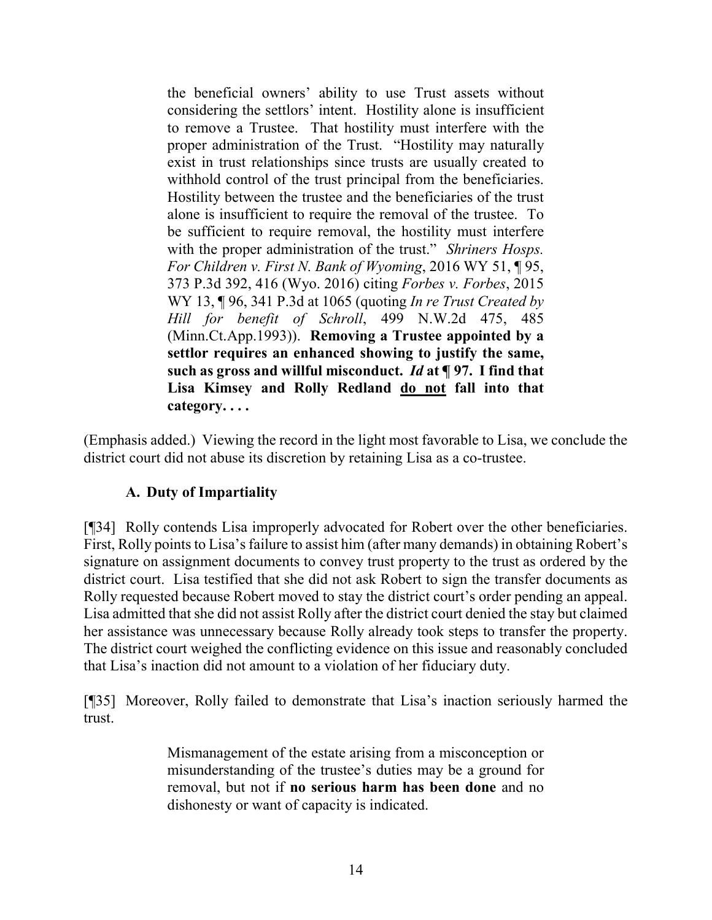the beneficial owners' ability to use Trust assets without considering the settlors' intent. Hostility alone is insufficient to remove a Trustee. That hostility must interfere with the proper administration of the Trust. "Hostility may naturally exist in trust relationships since trusts are usually created to withhold control of the trust principal from the beneficiaries. Hostility between the trustee and the beneficiaries of the trust alone is insufficient to require the removal of the trustee. To be sufficient to require removal, the hostility must interfere with the proper administration of the trust." *Shriners Hosps. For Children v. First N. Bank of Wyoming*, 2016 WY 51, ¶ 95, 373 P.3d 392, 416 (Wyo. 2016) citing *Forbes v. Forbes*, 2015 WY 13, ¶ 96, 341 P.3d at 1065 (quoting *In re Trust Created by Hill for benefit of Schroll*, 499 N.W.2d 475, 485 (Minn.Ct.App.1993)). **Removing a Trustee appointed by a settlor requires an enhanced showing to justify the same, such as gross and willful misconduct.** *Id* **at ¶ 97. I find that Lisa Kimsey and Rolly Redland do not fall into that category. . . .**

(Emphasis added.) Viewing the record in the light most favorable to Lisa, we conclude the district court did not abuse its discretion by retaining Lisa as a co-trustee.

#### **A. Duty of Impartiality**

[¶34] Rolly contends Lisa improperly advocated for Robert over the other beneficiaries. First, Rolly points to Lisa's failure to assist him (after many demands) in obtaining Robert's signature on assignment documents to convey trust property to the trust as ordered by the district court. Lisa testified that she did not ask Robert to sign the transfer documents as Rolly requested because Robert moved to stay the district court's order pending an appeal. Lisa admitted that she did not assist Rolly after the district court denied the stay but claimed her assistance was unnecessary because Rolly already took steps to transfer the property. The district court weighed the conflicting evidence on this issue and reasonably concluded that Lisa's inaction did not amount to a violation of her fiduciary duty.

[¶35] Moreover, Rolly failed to demonstrate that Lisa's inaction seriously harmed the trust.

> Mismanagement of the estate arising from a misconception or misunderstanding of the trustee's duties may be a ground for removal, but not if **no serious harm has been done** and no dishonesty or want of capacity is indicated.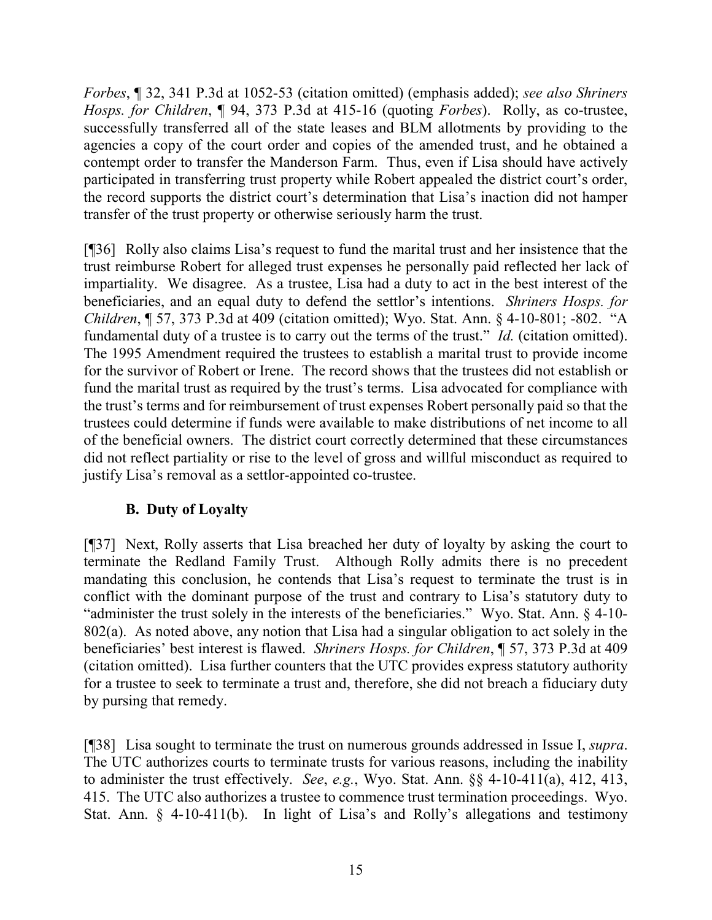*Forbes*, ¶ 32, 341 P.3d at 1052-53 (citation omitted) (emphasis added); *see also Shriners Hosps. for Children*, ¶ 94, 373 P.3d at 415-16 (quoting *Forbes*). Rolly, as co-trustee, successfully transferred all of the state leases and BLM allotments by providing to the agencies a copy of the court order and copies of the amended trust, and he obtained a contempt order to transfer the Manderson Farm. Thus, even if Lisa should have actively participated in transferring trust property while Robert appealed the district court's order, the record supports the district court's determination that Lisa's inaction did not hamper transfer of the trust property or otherwise seriously harm the trust.

[¶36] Rolly also claims Lisa's request to fund the marital trust and her insistence that the trust reimburse Robert for alleged trust expenses he personally paid reflected her lack of impartiality. We disagree. As a trustee, Lisa had a duty to act in the best interest of the beneficiaries, and an equal duty to defend the settlor's intentions. *Shriners Hosps. for Children*, ¶ 57, 373 P.3d at 409 (citation omitted); Wyo. Stat. Ann. § 4-10-801; -802. "A fundamental duty of a trustee is to carry out the terms of the trust." *Id.* (citation omitted). The 1995 Amendment required the trustees to establish a marital trust to provide income for the survivor of Robert or Irene. The record shows that the trustees did not establish or fund the marital trust as required by the trust's terms. Lisa advocated for compliance with the trust's terms and for reimbursement of trust expenses Robert personally paid so that the trustees could determine if funds were available to make distributions of net income to all of the beneficial owners. The district court correctly determined that these circumstances did not reflect partiality or rise to the level of gross and willful misconduct as required to justify Lisa's removal as a settlor-appointed co-trustee.

### **B. Duty of Loyalty**

[¶37] Next, Rolly asserts that Lisa breached her duty of loyalty by asking the court to terminate the Redland Family Trust. Although Rolly admits there is no precedent mandating this conclusion, he contends that Lisa's request to terminate the trust is in conflict with the dominant purpose of the trust and contrary to Lisa's statutory duty to "administer the trust solely in the interests of the beneficiaries." Wyo. Stat. Ann. § 4-10- 802(a). As noted above, any notion that Lisa had a singular obligation to act solely in the beneficiaries' best interest is flawed. *Shriners Hosps. for Children*, ¶ 57, 373 P.3d at 409 (citation omitted). Lisa further counters that the UTC provides express statutory authority for a trustee to seek to terminate a trust and, therefore, she did not breach a fiduciary duty by pursing that remedy.

[¶38] Lisa sought to terminate the trust on numerous grounds addressed in Issue I, *supra*. The UTC authorizes courts to terminate trusts for various reasons, including the inability to administer the trust effectively. *See*, *e.g.*, Wyo. Stat. Ann. §§ 4-10-411(a), 412, 413, 415. The UTC also authorizes a trustee to commence trust termination proceedings. Wyo. Stat. Ann. § 4-10-411(b). In light of Lisa's and Rolly's allegations and testimony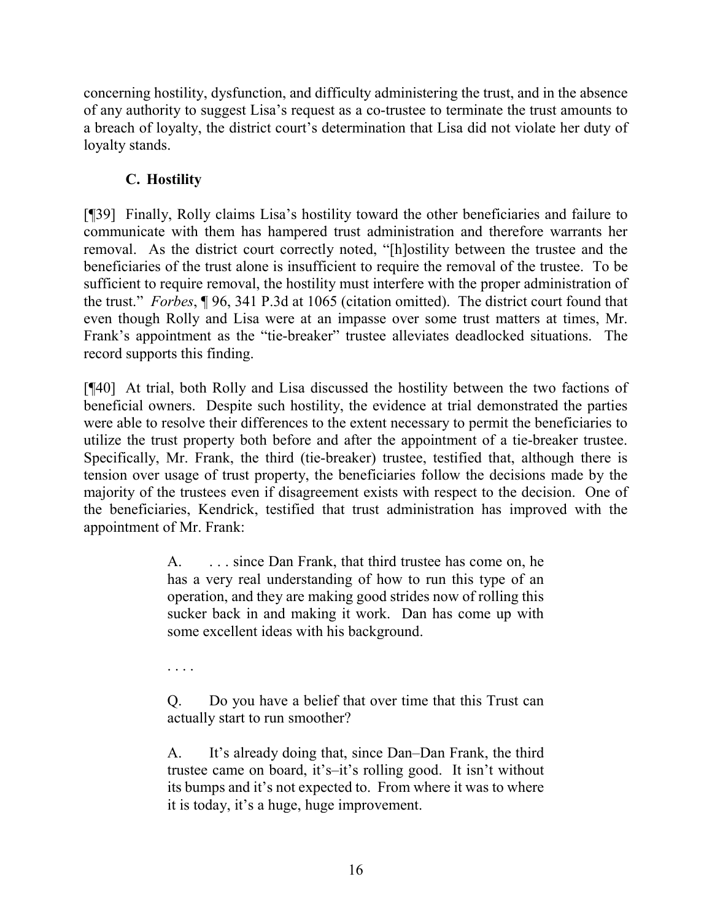concerning hostility, dysfunction, and difficulty administering the trust, and in the absence of any authority to suggest Lisa's request as a co-trustee to terminate the trust amounts to a breach of loyalty, the district court's determination that Lisa did not violate her duty of loyalty stands.

## **C. Hostility**

[¶39] Finally, Rolly claims Lisa's hostility toward the other beneficiaries and failure to communicate with them has hampered trust administration and therefore warrants her removal. As the district court correctly noted, "[h]ostility between the trustee and the beneficiaries of the trust alone is insufficient to require the removal of the trustee. To be sufficient to require removal, the hostility must interfere with the proper administration of the trust." *Forbes*, ¶ 96, 341 P.3d at 1065 (citation omitted). The district court found that even though Rolly and Lisa were at an impasse over some trust matters at times, Mr. Frank's appointment as the "tie-breaker" trustee alleviates deadlocked situations. The record supports this finding.

[¶40] At trial, both Rolly and Lisa discussed the hostility between the two factions of beneficial owners. Despite such hostility, the evidence at trial demonstrated the parties were able to resolve their differences to the extent necessary to permit the beneficiaries to utilize the trust property both before and after the appointment of a tie-breaker trustee. Specifically, Mr. Frank, the third (tie-breaker) trustee, testified that, although there is tension over usage of trust property, the beneficiaries follow the decisions made by the majority of the trustees even if disagreement exists with respect to the decision. One of the beneficiaries, Kendrick, testified that trust administration has improved with the appointment of Mr. Frank:

> A. ... since Dan Frank, that third trustee has come on, he has a very real understanding of how to run this type of an operation, and they are making good strides now of rolling this sucker back in and making it work. Dan has come up with some excellent ideas with his background.

. . . .

Q. Do you have a belief that over time that this Trust can actually start to run smoother?

A. It's already doing that, since Dan–Dan Frank, the third trustee came on board, it's–it's rolling good. It isn't without its bumps and it's not expected to. From where it was to where it is today, it's a huge, huge improvement.